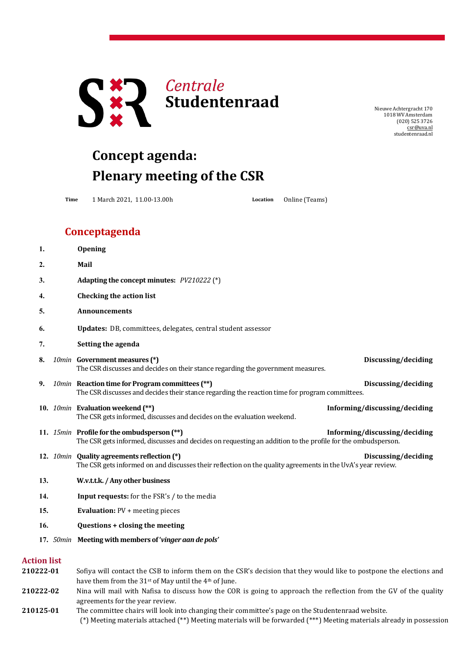

NieuweAchtergracht 170 1018 WV Amsterdam (020) 525 3726 [csr@uva.nl](mailto:csr@uva.nl) studentenraad.nl

## **Concept agenda: Plenary meeting of the CSR**

**Time** 1 March 2021, 11.00-13.00h **Location** Online (Teams)

## **Conceptagenda**

| 1.                              | Opening                                                                                                                                                                                              |
|---------------------------------|------------------------------------------------------------------------------------------------------------------------------------------------------------------------------------------------------|
| 2.                              | Mail                                                                                                                                                                                                 |
| 3.                              | Adapting the concept minutes: PV210222 (*)                                                                                                                                                           |
| 4.                              | <b>Checking the action list</b>                                                                                                                                                                      |
| 5.                              | <b>Announcements</b>                                                                                                                                                                                 |
| 6.                              | Updates: DB, committees, delegates, central student assessor                                                                                                                                         |
| 7.                              | Setting the agenda                                                                                                                                                                                   |
| 8.                              | 10min Government measures (*)<br>Discussing/deciding<br>The CSR discusses and decides on their stance regarding the government measures.                                                             |
| 9.                              | 10min Reaction time for Program committees (**)<br>Discussing/deciding<br>The CSR discusses and decides their stance regarding the reaction time for program committees.                             |
|                                 | Informing/discussing/deciding<br>10. 10min Evaluation weekend (**)<br>The CSR gets informed, discusses and decides on the evaluation weekend.                                                        |
|                                 | 11. 15min Profile for the ombudsperson (**)<br>Informing/discussing/deciding<br>The CSR gets informed, discusses and decides on requesting an addition to the profile for the ombudsperson.          |
|                                 | 12. 10min Quality agreements reflection (*)<br>Discussing/deciding<br>The CSR gets informed on and discusses their reflection on the quality agreements in the UvA's year review.                    |
| 13.                             | W.v.t.t.k. / Any other business                                                                                                                                                                      |
| 14.                             | Input requests: for the FSR's / to the media                                                                                                                                                         |
| 15.                             | <b>Evaluation:</b> PV + meeting pieces                                                                                                                                                               |
| 16.                             | Questions + closing the meeting                                                                                                                                                                      |
|                                 | 17. 50min Meeting with members of 'vinger aan de pols'                                                                                                                                               |
| <b>Action list</b><br>210222-01 | Sofiya will contact the CSB to inform them on the CSR's decision that they would like to postpone the elections and<br>have them from the 31 <sup>st</sup> of May until the 4 <sup>th</sup> of June. |
| 210222-02                       | Nina will mail with Nafisa to discuss how the COR is going to approach the reflection from the GV of the quality                                                                                     |
|                                 |                                                                                                                                                                                                      |

(\*) Meeting materials attached (\*\*) Meeting materials will be forwarded (\*\*\*) Meeting materials already in possession agreements for the year review. **210125-01** The committee chairs will look into changing their committee's page on the Studentenraad website.